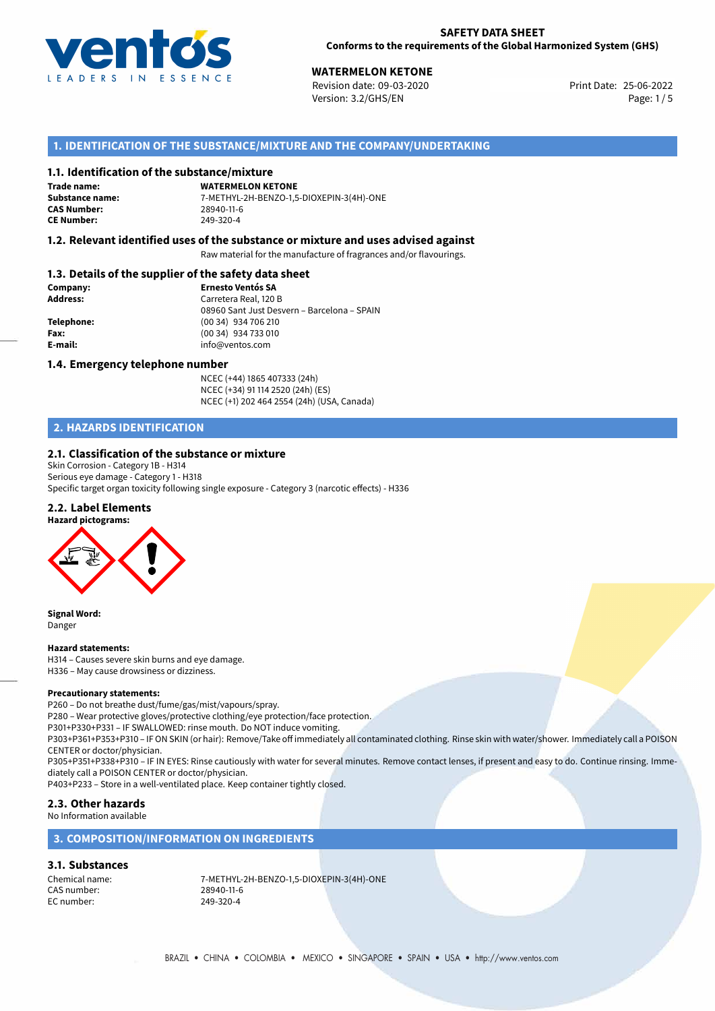

**WATERMELON KETONE**<br>25-06-2022 **Revision date: 09-03-2020** Print Date: 25-06-2022 Version: 3.2/GHS/EN Page: 1/5

# **1. IDENTIFICATION OF THE SUBSTANCE/MIXTURE AND THE COMPANY/UNDERTAKING**

#### **1.1. Identification of the substance/mixture**

**Trade name: CAS Number: CE Number:** 249-320-4

**WATERMELON KETONE Substance name:** 7-METHYL-2H-BENZO-1,5-DIOXEPIN-3(4H)-ONE

### **1.2. Relevant identified uses of the substance or mixture and uses advised against**

Raw material for the manufacture of fragrances and/or flavourings.

## **1.3. Details of the supplier of the safety data sheet**

| Company:        | <b>Ernesto Ventós SA</b>                    |  |
|-----------------|---------------------------------------------|--|
| <b>Address:</b> | Carretera Real, 120 B                       |  |
|                 | 08960 Sant Just Desvern - Barcelona - SPAIN |  |
| Telephone:      | (00 34) 934 706 210                         |  |
| Fax:            | (00 34) 934 733 010                         |  |
| E-mail:         | info@ventos.com                             |  |
|                 |                                             |  |

#### **1.4. Emergency telephone number**

NCEC (+44) 1865 407333 (24h) NCEC (+34) 91 114 2520 (24h) (ES) NCEC (+1) 202 464 2554 (24h) (USA, Canada)

# **2. HAZARDS IDENTIFICATION**

#### **2.1. Classification of the substance or mixture**

Skin Corrosion - Category 1B - H314 Serious eye damage - Category 1 - H318 Specific target organ toxicity following single exposure - Category 3 (narcotic effects) - H336

# **2.2. Label Elements**



**Signal Word:** Danger

#### **Hazard statements:**

H314 – Causes severe skin burns and eye damage. H336 – May cause drowsiness or dizziness.

#### **Precautionary statements:**

P260 – Do not breathe dust/fume/gas/mist/vapours/spray.

P280 – Wear protective gloves/protective clothing/eye protection/face protection.

P301+P330+P331 – IF SWALLOWED: rinse mouth. Do NOT induce vomiting.

P303+P361+P353+P310 – IF ON SKIN (or hair): Remove/Take off immediately all contaminated clothing. Rinse skin with water/shower. Immediately call a POISON CENTER or doctor/physician.

P305+P351+P338+P310 – IF IN EYES: Rinse cautiously with water for several minutes. Remove contact lenses, if present and easy to do. Continue rinsing. Immediately call a POISON CENTER or doctor/physician.

P403+P233 – Store in a well-ventilated place. Keep container tightly closed.

### **2.3. Other hazards**

#### No Information available

### **3. COMPOSITION/INFORMATION ON INGREDIENTS**

#### **3.1. Substances**

CAS number: EC number: 249-320-4

Chemical name: 7-METHYL-2H-BENZO-1,5-DIOXEPIN-3(4H)-ONE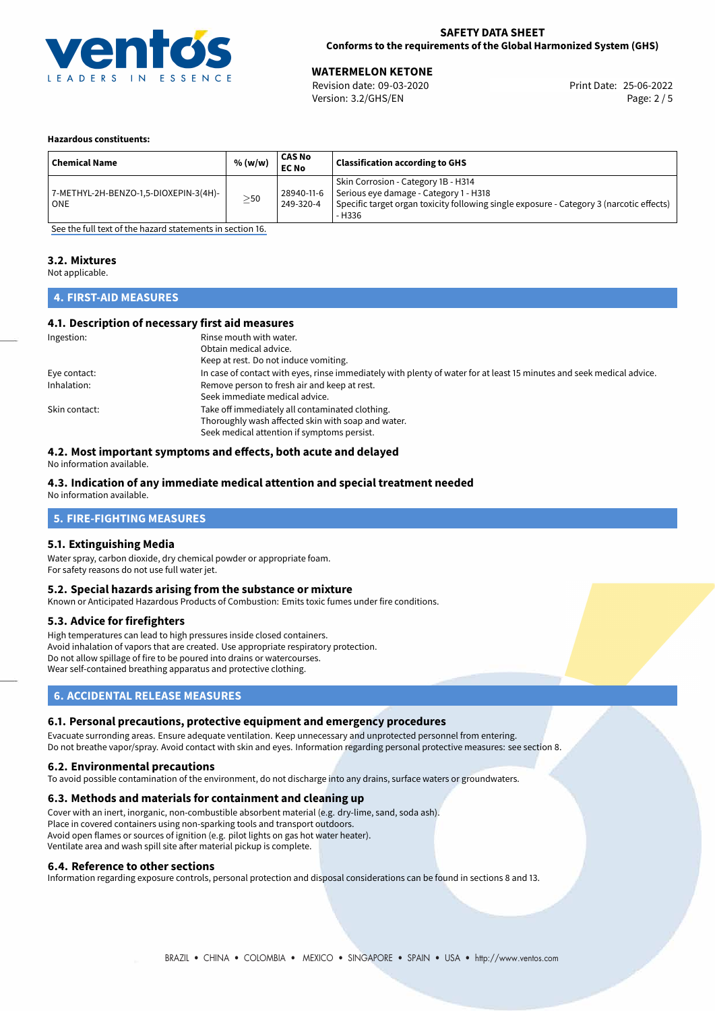

### **SAFETY DATA SHEET Conforms to the requirements of the Global Harmonized System (GHS)**

**WATERMELON KETONE**<br>
Revision date: 09-03-2020 **Print Date: 25-06-2022** Version: 3.2/GHS/EN Page: 2 / 5

#### **Hazardous constituents:**

| <sup>i</sup> Chemical Name                     | % (w/w)   | <b>CAS No</b><br><b>EC No</b> | <b>Classification according to GHS</b>                                                                                                                                              |
|------------------------------------------------|-----------|-------------------------------|-------------------------------------------------------------------------------------------------------------------------------------------------------------------------------------|
| 7-METHYL-2H-BENZO-1,5-DIOXEPIN-3(4H)-<br>l ONE | $\geq$ 50 | 28940-11-6<br>249-320-4       | Skin Corrosion - Category 1B - H314<br>Serious eye damage - Category 1 - H318<br>Specific target organ toxicity following single exposure - Category 3 (narcotic effects)<br>- H336 |

[See the full text of the hazard statements in section 16.](#page-4-0)

# **3.2. Mixtures**

Not applicable.

# **4. FIRST-AID MEASURES**

#### **4.1. Description of necessary first aid measures**

| Ingestion:    | Rinse mouth with water.                                                                                               |
|---------------|-----------------------------------------------------------------------------------------------------------------------|
|               | Obtain medical advice.                                                                                                |
|               | Keep at rest. Do not induce vomiting.                                                                                 |
| Eye contact:  | In case of contact with eyes, rinse immediately with plenty of water for at least 15 minutes and seek medical advice. |
| Inhalation:   | Remove person to fresh air and keep at rest.                                                                          |
|               | Seek immediate medical advice.                                                                                        |
| Skin contact: | Take off immediately all contaminated clothing.                                                                       |
|               | Thoroughly wash affected skin with soap and water.                                                                    |
|               | Seek medical attention if symptoms persist.                                                                           |

## **4.2. Most important symptoms and effects, both acute and delayed**

No information available.

# **4.3. Indication of any immediate medical attention and special treatment needed**

No information available.

# **5. FIRE-FIGHTING MEASURES**

#### **5.1. Extinguishing Media**

Water spray, carbon dioxide, dry chemical powder or appropriate foam. For safety reasons do not use full water jet.

#### **5.2. Special hazards arising from the substance or mixture**

Known or Anticipated Hazardous Products of Combustion: Emits toxic fumes under fire conditions.

#### **5.3. Advice for firefighters**

High temperatures can lead to high pressures inside closed containers. Avoid inhalation of vapors that are created. Use appropriate respiratory protection. Do not allow spillage of fire to be poured into drains or watercourses. Wear self-contained breathing apparatus and protective clothing.

# **6. ACCIDENTAL RELEASE MEASURES**

#### **6.1. Personal precautions, protective equipment and emergency procedures**

Evacuate surronding areas. Ensure adequate ventilation. Keep unnecessary and unprotected personnel from entering. Do not breathe vapor/spray. Avoid contact with skin and eyes. Information regarding personal protective measures: see section 8.

#### **6.2. Environmental precautions**

To avoid possible contamination of the environment, do not discharge into any drains, surface waters or groundwaters.

#### **6.3. Methods and materials for containment and cleaning up**

Cover with an inert, inorganic, non-combustible absorbent material (e.g. dry-lime, sand, soda ash). Place in covered containers using non-sparking tools and transport outdoors. Avoid open flames or sources of ignition (e.g. pilot lights on gas hot water heater). Ventilate area and wash spill site after material pickup is complete.

#### **6.4. Reference to other sections**

Information regarding exposure controls, personal protection and disposal considerations can be found in sections 8 and 13.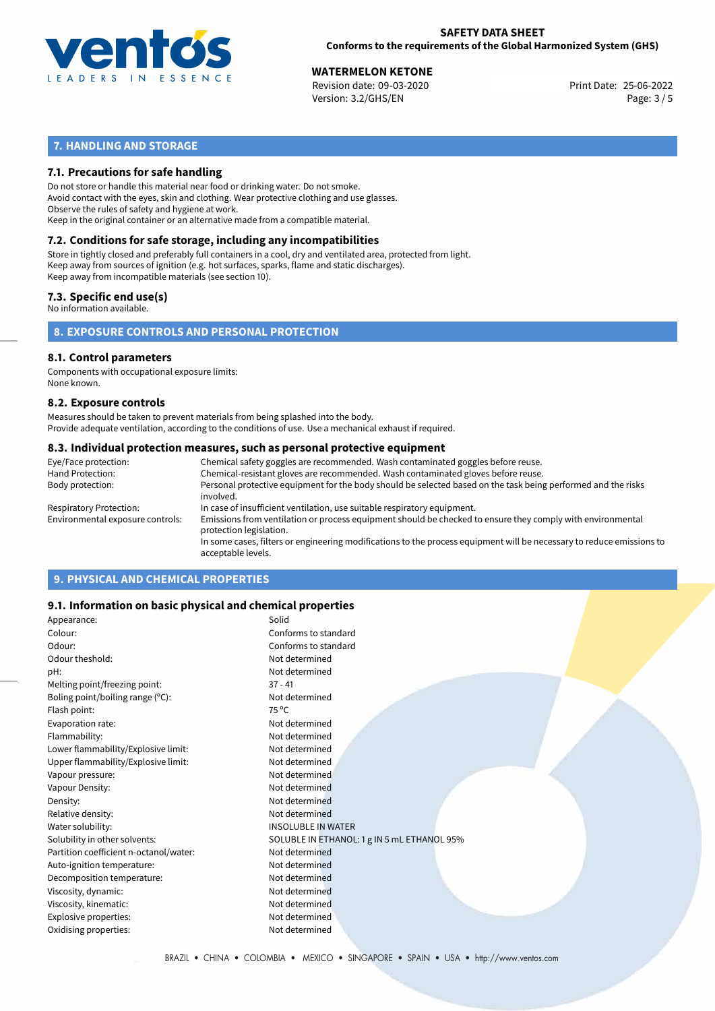

**WATERMELON KETONE**<br>
Revision date: 09-03-2020 **Print Date: 25-06-2022** Version: 3.2/GHS/EN Page: 3 / 5

# **7. HANDLING AND STORAGE**

## **7.1. Precautions for safe handling**

Do not store or handle this material near food or drinking water. Do not smoke. Avoid contact with the eyes, skin and clothing. Wear protective clothing and use glasses. Observe the rules of safety and hygiene at work. Keep in the original container or an alternative made from a compatible material.

# **7.2. Conditions for safe storage, including any incompatibilities**

Store in tightly closed and preferably full containers in a cool, dry and ventilated area, protected from light. Keep away from sources of ignition (e.g. hot surfaces, sparks, flame and static discharges). Keep away from incompatible materials (see section 10).

### **7.3. Specific end use(s)**

No information available.

**8. EXPOSURE CONTROLS AND PERSONAL PROTECTION**

#### **8.1. Control parameters**

Components with occupational exposure limits: None known.

#### **8.2. Exposure controls**

Measures should be taken to prevent materials from being splashed into the body. Provide adequate ventilation, according to the conditions of use. Use a mechanical exhaust if required.

#### **8.3. Individual protection measures, such as personal protective equipment**

| Eye/Face protection:             | Chemical safety goggles are recommended. Wash contaminated goggles before reuse.                                                            |  |  |  |  |
|----------------------------------|---------------------------------------------------------------------------------------------------------------------------------------------|--|--|--|--|
| Hand Protection:                 | Chemical-resistant gloves are recommended. Wash contaminated gloves before reuse.                                                           |  |  |  |  |
| Body protection:                 | Personal protective equipment for the body should be selected based on the task being performed and the risks<br>involved.                  |  |  |  |  |
| Respiratory Protection:          | In case of insufficient ventilation, use suitable respiratory equipment.                                                                    |  |  |  |  |
| Environmental exposure controls: | Emissions from ventilation or process equipment should be checked to ensure they comply with environmental<br>protection legislation.       |  |  |  |  |
|                                  | In some cases, filters or engineering modifications to the process equipment will be necessary to reduce emissions to<br>acceptable levels. |  |  |  |  |
|                                  |                                                                                                                                             |  |  |  |  |

# **9. PHYSICAL AND CHEMICAL PROPERTIES**

### **9.1. Information on basic physical and chemical properties**

| Appearance:                            | Solid                                       |
|----------------------------------------|---------------------------------------------|
| Colour:                                | Conforms to standard                        |
| Odour:                                 | Conforms to standard                        |
| Odour theshold:                        | Not determined                              |
| pH:                                    | Not determined                              |
| Melting point/freezing point:          | $37 - 41$                                   |
| Boling point/boiling range (°C):       | Not determined                              |
| Flash point:                           | 75 °C                                       |
| Evaporation rate:                      | Not determined                              |
| Flammability:                          | Not determined                              |
| Lower flammability/Explosive limit:    | Not determined                              |
| Upper flammability/Explosive limit:    | Not determined                              |
| Vapour pressure:                       | Not determined                              |
| Vapour Density:                        | Not determined                              |
| Density:                               | Not determined                              |
| Relative density:                      | Not determined                              |
| Water solubility:                      | <b>INSOLUBLE IN WATER</b>                   |
| Solubility in other solvents:          | SOLUBLE IN ETHANOL: 1 g IN 5 mL ETHANOL 95% |
| Partition coefficient n-octanol/water: | Not determined                              |
| Auto-ignition temperature:             | Not determined                              |
| Decomposition temperature:             | Not determined                              |
| Viscosity, dynamic:                    | Not determined                              |
| Viscosity, kinematic:                  | Not determined                              |
| Explosive properties:                  | Not determined                              |
| Oxidising properties:                  | Not determined                              |
|                                        |                                             |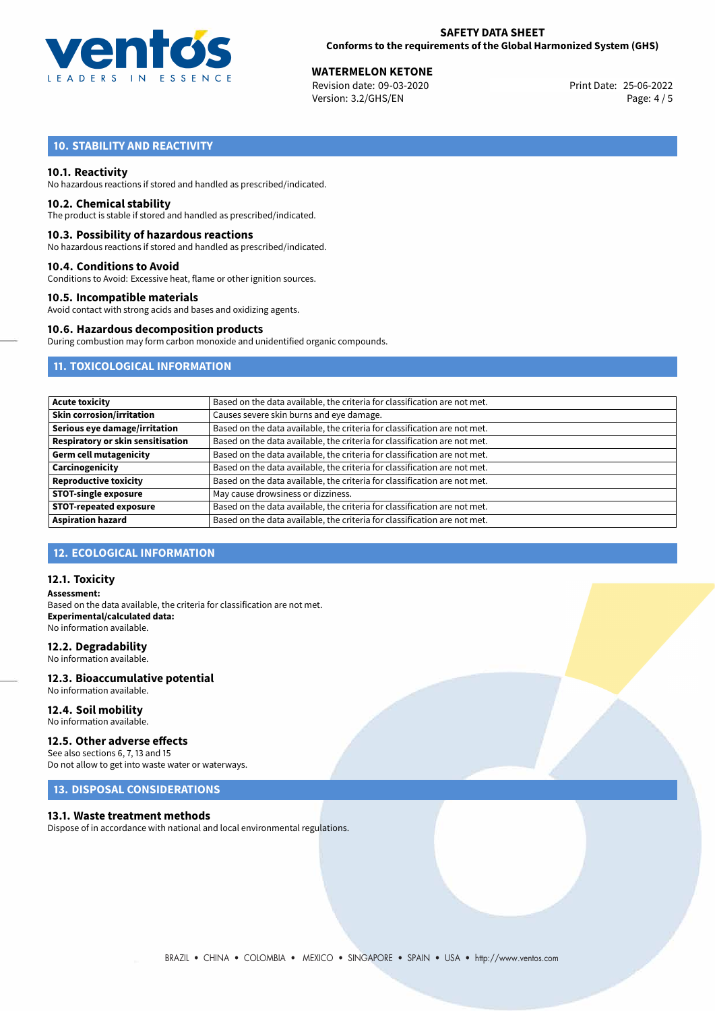

**WATERMELON KETONE**<br>
Revision date: 09-03-2020 **Print Date: 25-06-2022** Version: 3.2/GHS/EN Page: 4 / 5

# **10. STABILITY AND REACTIVITY**

#### **10.1. Reactivity**

No hazardous reactions if stored and handled as prescribed/indicated.

#### **10.2. Chemical stability**

The product is stable if stored and handled as prescribed/indicated.

#### **10.3. Possibility of hazardous reactions**

No hazardous reactions if stored and handled as prescribed/indicated.

#### **10.4. Conditions to Avoid**

Conditions to Avoid: Excessive heat, flame or other ignition sources.

#### **10.5. Incompatible materials**

Avoid contact with strong acids and bases and oxidizing agents.

#### **10.6. Hazardous decomposition products**

During combustion may form carbon monoxide and unidentified organic compounds.

# **11. TOXICOLOGICAL INFORMATION**

| <b>Acute toxicity</b>             | Based on the data available, the criteria for classification are not met. |
|-----------------------------------|---------------------------------------------------------------------------|
| <b>Skin corrosion/irritation</b>  | Causes severe skin burns and eye damage.                                  |
| Serious eye damage/irritation     | Based on the data available, the criteria for classification are not met. |
| Respiratory or skin sensitisation | Based on the data available, the criteria for classification are not met. |
| Germ cell mutagenicity            | Based on the data available, the criteria for classification are not met. |
| Carcinogenicity                   | Based on the data available, the criteria for classification are not met. |
| <b>Reproductive toxicity</b>      | Based on the data available, the criteria for classification are not met. |
| <b>STOT-single exposure</b>       | May cause drowsiness or dizziness.                                        |
| <b>STOT-repeated exposure</b>     | Based on the data available, the criteria for classification are not met. |
| <b>Aspiration hazard</b>          | Based on the data available, the criteria for classification are not met. |

### **12. ECOLOGICAL INFORMATION**

#### **12.1. Toxicity**

**Assessment:** Based on the data available, the criteria for classification are not met. **Experimental/calculated data:** No information available.

#### **12.2. Degradability**

No information available.

#### **12.3. Bioaccumulative potential** No information available.

**12.4. Soil mobility**

# No information available.

### **12.5. Other adverse effects**

See also sections 6, 7, 13 and 15 Do not allow to get into waste water or waterways.

# **13. DISPOSAL CONSIDERATIONS**

#### **13.1. Waste treatment methods**

Dispose of in accordance with national and local environmental regulations.